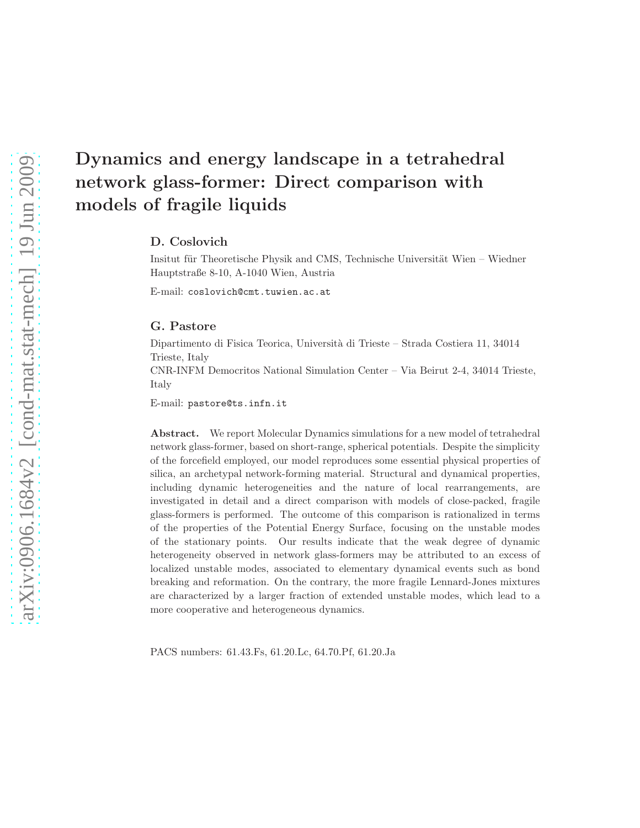# Dynamics and energy landscape in a tetrahedral network glass-former: Direct comparison with models of fragile liquids

D. Coslovich

Insitut für Theoretische Physik and CMS, Technische Universität Wien – Wiedner Hauptstraße 8-10, A-1040 Wien, Austria

E-mail: coslovich@cmt.tuwien.ac.at

## G. Pastore

Dipartimento di Fisica Teorica, Università di Trieste – Strada Costiera 11, 34014 Trieste, Italy

CNR-INFM Democritos National Simulation Center – Via Beirut 2-4, 34014 Trieste, Italy

E-mail: pastore@ts.infn.it

Abstract. We report Molecular Dynamics simulations for a new model of tetrahedral network glass-former, based on short-range, spherical potentials. Despite the simplicity of the forcefield employed, our model reproduces some essential physical properties of silica, an archetypal network-forming material. Structural and dynamical properties, including dynamic heterogeneities and the nature of local rearrangements, are investigated in detail and a direct comparison with models of close-packed, fragile glass-formers is performed. The outcome of this comparison is rationalized in terms of the properties of the Potential Energy Surface, focusing on the unstable modes of the stationary points. Our results indicate that the weak degree of dynamic heterogeneity observed in network glass-formers may be attributed to an excess of localized unstable modes, associated to elementary dynamical events such as bond breaking and reformation. On the contrary, the more fragile Lennard-Jones mixtures are characterized by a larger fraction of extended unstable modes, which lead to a more cooperative and heterogeneous dynamics.

PACS numbers: 61.43.Fs, 61.20.Lc, 64.70.Pf, 61.20.Ja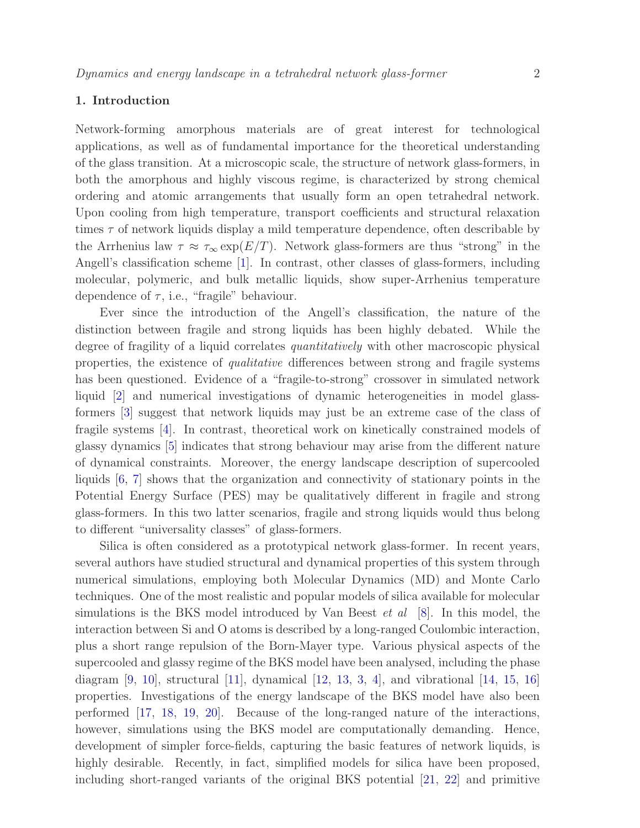## 1. Introduction

Network-forming amorphous materials are of great interest for technological applications, as well as of fundamental importance for the theoretical understanding of the glass transition. At a microscopic scale, the structure of network glass-formers, in both the amorphous and highly viscous regime, is characterized by strong chemical ordering and atomic arrangements that usually form an open tetrahedral network. Upon cooling from high temperature, transport coefficients and structural relaxation times  $\tau$  of network liquids display a mild temperature dependence, often describable by the Arrhenius law  $\tau \approx \tau_{\infty} \exp(E/T)$ . Network glass-formers are thus "strong" in the Angell's classification scheme [\[1\]](#page-23-0). In contrast, other classes of glass-formers, including molecular, polymeric, and bulk metallic liquids, show super-Arrhenius temperature dependence of  $\tau$ , i.e., "fragile" behaviour.

Ever since the introduction of the Angell's classification, the nature of the distinction between fragile and strong liquids has been highly debated. While the degree of fragility of a liquid correlates *quantitatively* with other macroscopic physical properties, the existence of qualitative differences between strong and fragile systems has been questioned. Evidence of a "fragile-to-strong" crossover in simulated network liquid [\[2\]](#page-23-1) and numerical investigations of dynamic heterogeneities in model glassformers [\[3\]](#page-23-2) suggest that network liquids may just be an extreme case of the class of fragile systems [\[4\]](#page-23-3). In contrast, theoretical work on kinetically constrained models of glassy dynamics [\[5\]](#page-23-4) indicates that strong behaviour may arise from the different nature of dynamical constraints. Moreover, the energy landscape description of supercooled liquids [\[6,](#page-23-5) [7\]](#page-23-6) shows that the organization and connectivity of stationary points in the Potential Energy Surface (PES) may be qualitatively different in fragile and strong glass-formers. In this two latter scenarios, fragile and strong liquids would thus belong to different "universality classes" of glass-formers.

Silica is often considered as a prototypical network glass-former. In recent years, several authors have studied structural and dynamical properties of this system through numerical simulations, employing both Molecular Dynamics (MD) and Monte Carlo techniques. One of the most realistic and popular models of silica available for molecular simulations is the BKS model introduced by Van Beest  $et \ al \ [8]$  $et \ al \ [8]$ . In this model, the interaction between Si and O atoms is described by a long-ranged Coulombic interaction, plus a short range repulsion of the Born-Mayer type. Various physical aspects of the supercooled and glassy regime of the BKS model have been analysed, including the phase diagram  $[9, 10]$  $[9, 10]$ , structural  $[11]$ , dynamical  $[12, 13, 3, 4]$  $[12, 13, 3, 4]$  $[12, 13, 3, 4]$  $[12, 13, 3, 4]$  $[12, 13, 3, 4]$  $[12, 13, 3, 4]$ , and vibrational  $[14, 15, 16]$  $[14, 15, 16]$  $[14, 15, 16]$  $[14, 15, 16]$ properties. Investigations of the energy landscape of the BKS model have also been performed [\[17,](#page-24-1) [18,](#page-24-2) [19,](#page-24-3) [20\]](#page-24-4). Because of the long-ranged nature of the interactions, however, simulations using the BKS model are computationally demanding. Hence, development of simpler force-fields, capturing the basic features of network liquids, is highly desirable. Recently, in fact, simplified models for silica have been proposed, including short-ranged variants of the original BKS potential [\[21,](#page-24-5) [22\]](#page-24-6) and primitive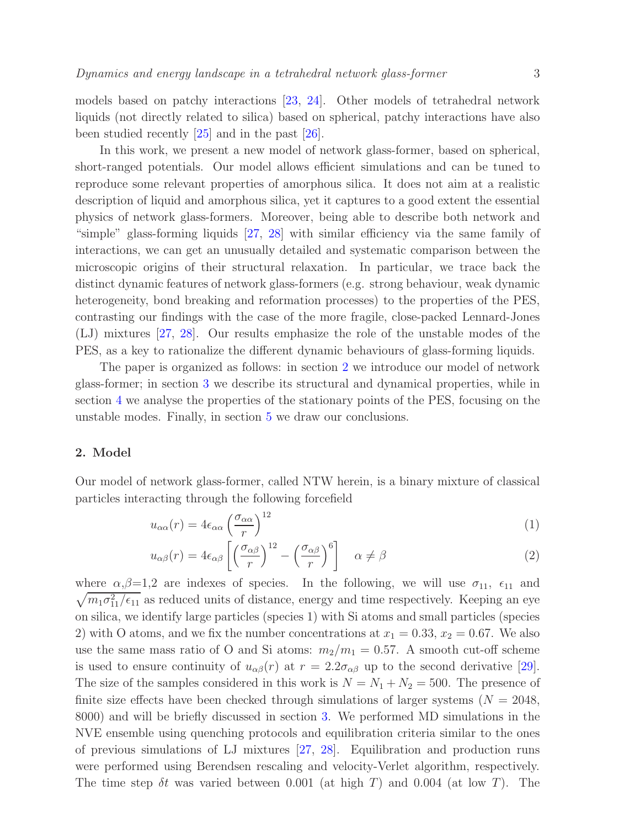models based on patchy interactions [\[23,](#page-24-7) [24\]](#page-24-8). Other models of tetrahedral network liquids (not directly related to silica) based on spherical, patchy interactions have also been studied recently [\[25\]](#page-24-9) and in the past [\[26\]](#page-24-10).

In this work, we present a new model of network glass-former, based on spherical, short-ranged potentials. Our model allows efficient simulations and can be tuned to reproduce some relevant properties of amorphous silica. It does not aim at a realistic description of liquid and amorphous silica, yet it captures to a good extent the essential physics of network glass-formers. Moreover, being able to describe both network and "simple" glass-forming liquids [\[27,](#page-24-11) [28\]](#page-24-12) with similar efficiency via the same family of interactions, we can get an unusually detailed and systematic comparison between the microscopic origins of their structural relaxation. In particular, we trace back the distinct dynamic features of network glass-formers (e.g. strong behaviour, weak dynamic heterogeneity, bond breaking and reformation processes) to the properties of the PES, contrasting our findings with the case of the more fragile, close-packed Lennard-Jones (LJ) mixtures [\[27,](#page-24-11) [28\]](#page-24-12). Our results emphasize the role of the unstable modes of the PES, as a key to rationalize the different dynamic behaviours of glass-forming liquids.

The paper is organized as follows: in section [2](#page-2-0) we introduce our model of network glass-former; in section [3](#page-4-0) we describe its structural and dynamical properties, while in section [4](#page-17-0) we analyse the properties of the stationary points of the PES, focusing on the unstable modes. Finally, in section [5](#page-22-0) we draw our conclusions.

#### <span id="page-2-0"></span>2. Model

Our model of network glass-former, called NTW herein, is a binary mixture of classical particles interacting through the following forcefield

$$
u_{\alpha\alpha}(r) = 4\epsilon_{\alpha\alpha} \left(\frac{\sigma_{\alpha\alpha}}{r}\right)^{12} \tag{1}
$$

$$
u_{\alpha\beta}(r) = 4\epsilon_{\alpha\beta} \left[ \left( \frac{\sigma_{\alpha\beta}}{r} \right)^{12} - \left( \frac{\sigma_{\alpha\beta}}{r} \right)^6 \right] \quad \alpha \neq \beta \tag{2}
$$

where  $\alpha, \beta = 1, 2$  are indexes of species. In the following, we will use  $\sigma_{11}$ ,  $\epsilon_{11}$  and  $\sqrt{m_1\sigma_{11}^2/\epsilon_{11}}$  as reduced units of distance, energy and time respectively. Keeping an eye on silica, we identify large particles (species 1) with Si atoms and small particles (species 2) with O atoms, and we fix the number concentrations at  $x_1 = 0.33, x_2 = 0.67$ . We also use the same mass ratio of O and Si atoms:  $m_2/m_1 = 0.57$ . A smooth cut-off scheme is used to ensure continuity of  $u_{\alpha\beta}(r)$  at  $r = 2.2\sigma_{\alpha\beta}$  up to the second derivative [\[29\]](#page-24-13). The size of the samples considered in this work is  $N = N_1 + N_2 = 500$ . The presence of finite size effects have been checked through simulations of larger systems ( $N = 2048$ , 8000) and will be briefly discussed in section [3.](#page-4-0) We performed MD simulations in the NVE ensemble using quenching protocols and equilibration criteria similar to the ones of previous simulations of LJ mixtures [\[27,](#page-24-11) [28\]](#page-24-12). Equilibration and production runs were performed using Berendsen rescaling and velocity-Verlet algorithm, respectively. The time step  $\delta t$  was varied between 0.001 (at high T) and 0.004 (at low T). The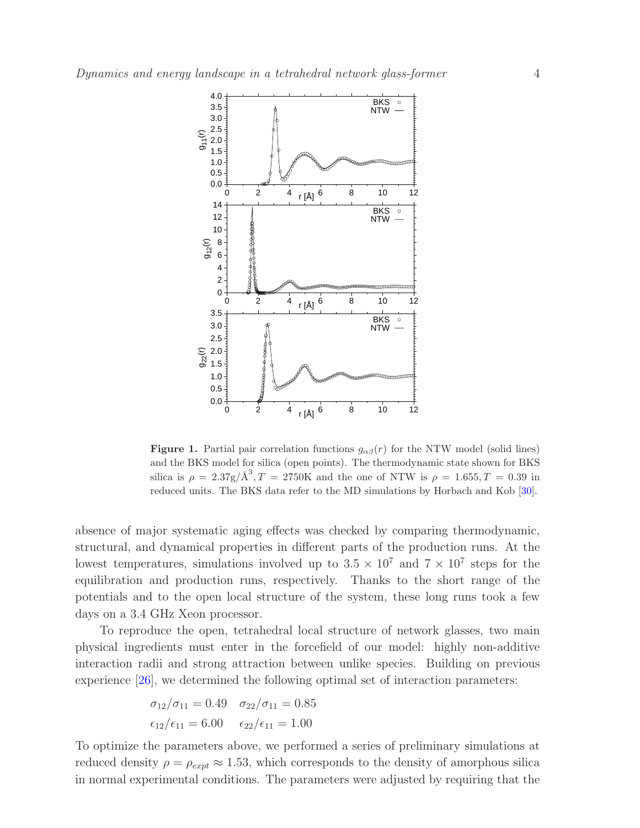

<span id="page-3-0"></span>**Figure 1.** Partial pair correlation functions  $g_{\alpha\beta}(r)$  for the NTW model (solid lines) and the BKS model for silica (open points). The thermodynamic state shown for BKS silica is  $\rho = 2.37g/\text{\AA}^3$ ,  $T = 2750\text{K}$  and the one of NTW is  $\rho = 1.655$ ,  $T = 0.39$  in reduced units. The BKS data refer to the MD simulations by Horbach and Kob [\[30\]](#page-24-14).

absence of major systematic aging effects was checked by comparing thermodynamic, structural, and dynamical properties in different parts of the production runs. At the lowest temperatures, simulations involved up to  $3.5 \times 10^7$  and  $7 \times 10^7$  steps for the equilibration and production runs, respectively. Thanks to the short range of the potentials and to the open local structure of the system, these long runs took a few days on a 3.4 GHz Xeon processor.

To reproduce the open, tetrahedral local structure of network glasses, two main physical ingredients must enter in the forcefield of our model: highly non-additive interaction radii and strong attraction between unlike species. Building on previous experience [\[26\]](#page-24-10), we determined the following optimal set of interaction parameters:

$$
\sigma_{12}/\sigma_{11} = 0.49
$$
  $\sigma_{22}/\sigma_{11} = 0.85$   
 $\epsilon_{12}/\epsilon_{11} = 6.00$   $\epsilon_{22}/\epsilon_{11} = 1.00$ 

To optimize the parameters above, we performed a series of preliminary simulations at reduced density  $\rho = \rho_{expt} \approx 1.53$ , which corresponds to the density of amorphous silica in normal experimental conditions. The parameters were adjusted by requiring that the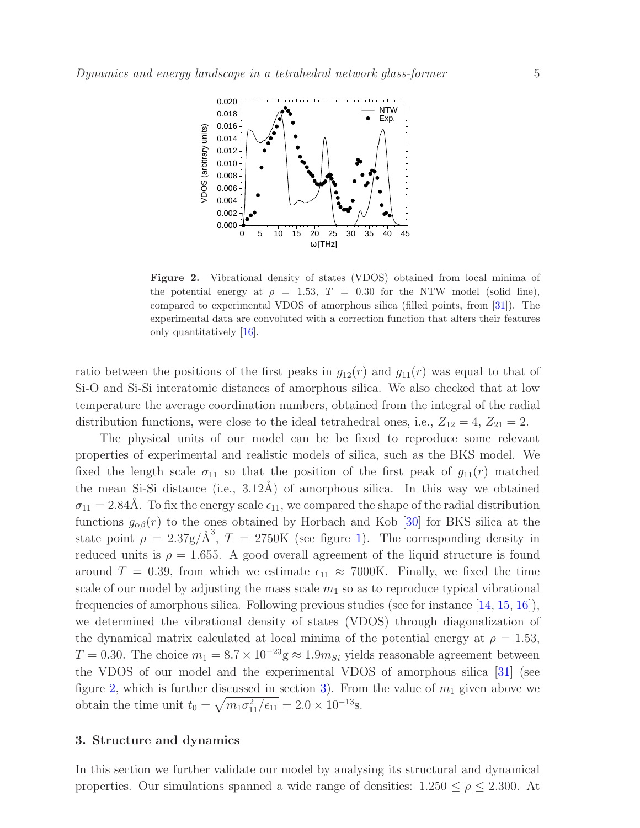

<span id="page-4-1"></span>Figure 2. Vibrational density of states (VDOS) obtained from local minima of the potential energy at  $\rho = 1.53$ ,  $T = 0.30$  for the NTW model (solid line), compared to experimental VDOS of amorphous silica (filled points, from [\[31\]](#page-24-15)). The experimental data are convoluted with a correction function that alters their features only quantitatively [\[16\]](#page-24-0).

ratio between the positions of the first peaks in  $g_{12}(r)$  and  $g_{11}(r)$  was equal to that of Si-O and Si-Si interatomic distances of amorphous silica. We also checked that at low temperature the average coordination numbers, obtained from the integral of the radial distribution functions, were close to the ideal tetrahedral ones, i.e.,  $Z_{12} = 4$ ,  $Z_{21} = 2$ .

The physical units of our model can be be fixed to reproduce some relevant properties of experimental and realistic models of silica, such as the BKS model. We fixed the length scale  $\sigma_{11}$  so that the position of the first peak of  $g_{11}(r)$  matched the mean Si-Si distance (i.e.,  $3.12\text{\AA}$ ) of amorphous silica. In this way we obtained  $\sigma_{11} = 2.84\text{\AA}$ . To fix the energy scale  $\epsilon_{11}$ , we compared the shape of the radial distribution functions  $g_{\alpha\beta}(r)$  to the ones obtained by Horbach and Kob [\[30\]](#page-24-14) for BKS silica at the state point  $\rho = 2.37g/\text{\AA}^3$ ,  $T = 2750\text{K}$  (see figure [1\)](#page-3-0). The corresponding density in reduced units is  $\rho = 1.655$ . A good overall agreement of the liquid structure is found around  $T = 0.39$ , from which we estimate  $\epsilon_{11} \approx 7000$ K. Finally, we fixed the time scale of our model by adjusting the mass scale  $m_1$  so as to reproduce typical vibrational frequencies of amorphous silica. Following previous studies (see for instance [\[14,](#page-23-13) [15,](#page-23-14) [16\]](#page-24-0)), we determined the vibrational density of states (VDOS) through diagonalization of the dynamical matrix calculated at local minima of the potential energy at  $\rho = 1.53$ ,  $T = 0.30$ . The choice  $m_1 = 8.7 \times 10^{-23}$ g ≈ 1.9 $m_{Si}$  yields reasonable agreement between the VDOS of our model and the experimental VDOS of amorphous silica [\[31\]](#page-24-15) (see figure [2,](#page-4-1) which is further discussed in section [3\)](#page-4-0). From the value of  $m_1$  given above we obtain the time unit  $t_0 = \sqrt{m_1 \sigma_{11}^2/\epsilon_{11}} = 2.0 \times 10^{-13}$ s.

# <span id="page-4-0"></span>3. Structure and dynamics

In this section we further validate our model by analysing its structural and dynamical properties. Our simulations spanned a wide range of densities:  $1.250 \le \rho \le 2.300$ . At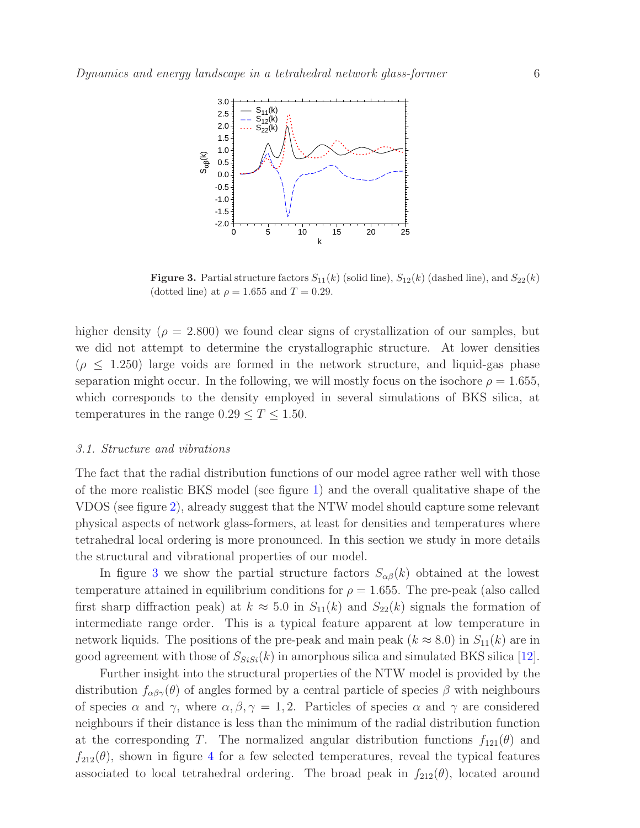

<span id="page-5-0"></span>**Figure 3.** Partial structure factors  $S_{11}(k)$  (solid line),  $S_{12}(k)$  (dashed line), and  $S_{22}(k)$ (dotted line) at  $\rho = 1.655$  and  $T = 0.29$ .

higher density ( $\rho = 2.800$ ) we found clear signs of crystallization of our samples, but we did not attempt to determine the crystallographic structure. At lower densities  $(\rho \leq 1.250)$  large voids are formed in the network structure, and liquid-gas phase separation might occur. In the following, we will mostly focus on the isochore  $\rho = 1.655$ , which corresponds to the density employed in several simulations of BKS silica, at temperatures in the range  $0.29 \le T \le 1.50$ .

## 3.1. Structure and vibrations

The fact that the radial distribution functions of our model agree rather well with those of the more realistic BKS model (see figure [1\)](#page-3-0) and the overall qualitative shape of the VDOS (see figure [2\)](#page-4-1), already suggest that the NTW model should capture some relevant physical aspects of network glass-formers, at least for densities and temperatures where tetrahedral local ordering is more pronounced. In this section we study in more details the structural and vibrational properties of our model.

In figure [3](#page-5-0) we show the partial structure factors  $S_{\alpha\beta}(k)$  obtained at the lowest temperature attained in equilibrium conditions for  $\rho = 1.655$ . The pre-peak (also called first sharp diffraction peak) at  $k \approx 5.0$  in  $S_{11}(k)$  and  $S_{22}(k)$  signals the formation of intermediate range order. This is a typical feature apparent at low temperature in network liquids. The positions of the pre-peak and main peak  $(k \approx 8.0)$  in  $S_{11}(k)$  are in good agreement with those of  $S_{SiSi}(k)$  in amorphous silica and simulated BKS silica [\[12\]](#page-23-11).

Further insight into the structural properties of the NTW model is provided by the distribution  $f_{\alpha\beta\gamma}(\theta)$  of angles formed by a central particle of species  $\beta$  with neighbours of species  $\alpha$  and  $\gamma$ , where  $\alpha, \beta, \gamma = 1, 2$ . Particles of species  $\alpha$  and  $\gamma$  are considered neighbours if their distance is less than the minimum of the radial distribution function at the corresponding T. The normalized angular distribution functions  $f_{121}(\theta)$  and  $f_{212}(\theta)$ , shown in figure [4](#page-6-0) for a few selected temperatures, reveal the typical features associated to local tetrahedral ordering. The broad peak in  $f_{212}(\theta)$ , located around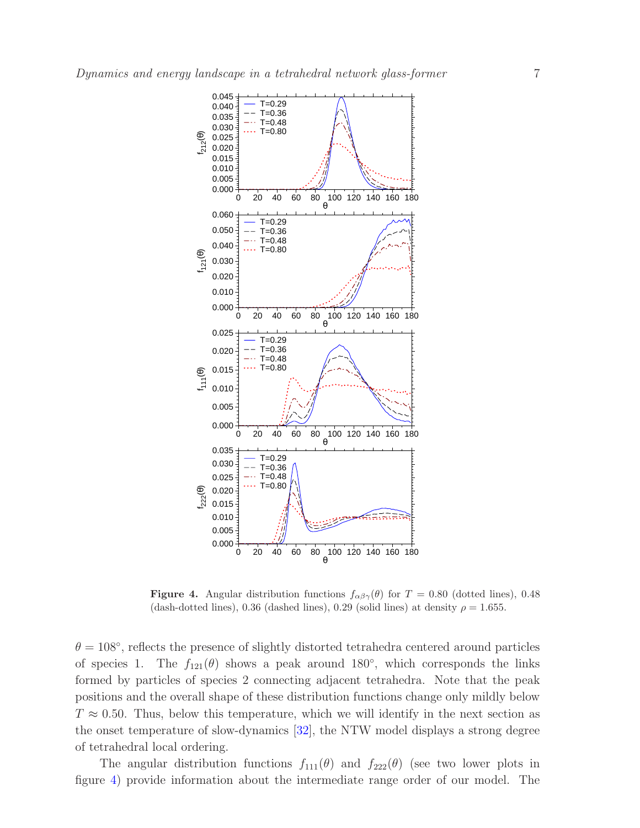

<span id="page-6-0"></span>**Figure 4.** Angular distribution functions  $f_{\alpha\beta\gamma}(\theta)$  for  $T = 0.80$  (dotted lines), 0.48 (dash-dotted lines), 0.36 (dashed lines), 0.29 (solid lines) at density  $\rho = 1.655$ .

 $\theta = 108^{\circ}$ , reflects the presence of slightly distorted tetrahedra centered around particles of species 1. The  $f_{121}(\theta)$  shows a peak around 180<sup>°</sup>, which corresponds the links formed by particles of species 2 connecting adjacent tetrahedra. Note that the peak positions and the overall shape of these distribution functions change only mildly below  $T \approx 0.50$ . Thus, below this temperature, which we will identify in the next section as the onset temperature of slow-dynamics [\[32\]](#page-24-16), the NTW model displays a strong degree of tetrahedral local ordering.

The angular distribution functions  $f_{111}(\theta)$  and  $f_{222}(\theta)$  (see two lower plots in figure [4\)](#page-6-0) provide information about the intermediate range order of our model. The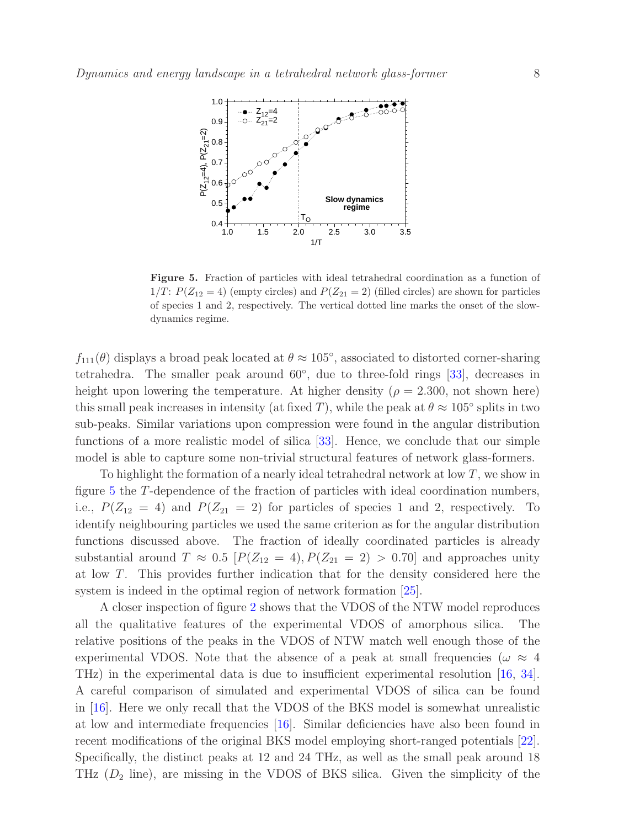

<span id="page-7-0"></span>Figure 5. Fraction of particles with ideal tetrahedral coordination as a function of  $1/T$ :  $P(Z_{12} = 4)$  (empty circles) and  $P(Z_{21} = 2)$  (filled circles) are shown for particles of species 1 and 2, respectively. The vertical dotted line marks the onset of the slowdynamics regime.

 $f_{111}(\theta)$  displays a broad peak located at  $\theta \approx 105^{\circ}$ , associated to distorted corner-sharing tetrahedra. The smaller peak around 60<sup>°</sup>, due to three-fold rings [\[33\]](#page-24-17), decreases in height upon lowering the temperature. At higher density ( $\rho = 2.300$ , not shown here) this small peak increases in intensity (at fixed T), while the peak at  $\theta \approx 105^{\circ}$  splits in two sub-peaks. Similar variations upon compression were found in the angular distribution functions of a more realistic model of silica [\[33\]](#page-24-17). Hence, we conclude that our simple model is able to capture some non-trivial structural features of network glass-formers.

To highlight the formation of a nearly ideal tetrahedral network at low T, we show in figure [5](#page-7-0) the T-dependence of the fraction of particles with ideal coordination numbers, i.e.,  $P(Z_{12} = 4)$  and  $P(Z_{21} = 2)$  for particles of species 1 and 2, respectively. To identify neighbouring particles we used the same criterion as for the angular distribution functions discussed above. The fraction of ideally coordinated particles is already substantial around  $T \approx 0.5$   $[P(Z_{12} = 4), P(Z_{21} = 2) > 0.70]$  and approaches unity at low T. This provides further indication that for the density considered here the system is indeed in the optimal region of network formation [\[25\]](#page-24-9).

A closer inspection of figure [2](#page-4-1) shows that the VDOS of the NTW model reproduces all the qualitative features of the experimental VDOS of amorphous silica. The relative positions of the peaks in the VDOS of NTW match well enough those of the experimental VDOS. Note that the absence of a peak at small frequencies ( $\omega \approx 4$ THz) in the experimental data is due to insufficient experimental resolution [\[16,](#page-24-0) [34\]](#page-24-18). A careful comparison of simulated and experimental VDOS of silica can be found in [\[16\]](#page-24-0). Here we only recall that the VDOS of the BKS model is somewhat unrealistic at low and intermediate frequencies [\[16\]](#page-24-0). Similar deficiencies have also been found in recent modifications of the original BKS model employing short-ranged potentials [\[22\]](#page-24-6). Specifically, the distinct peaks at 12 and 24 THz, as well as the small peak around 18 THz  $(D_2)$  line), are missing in the VDOS of BKS silica. Given the simplicity of the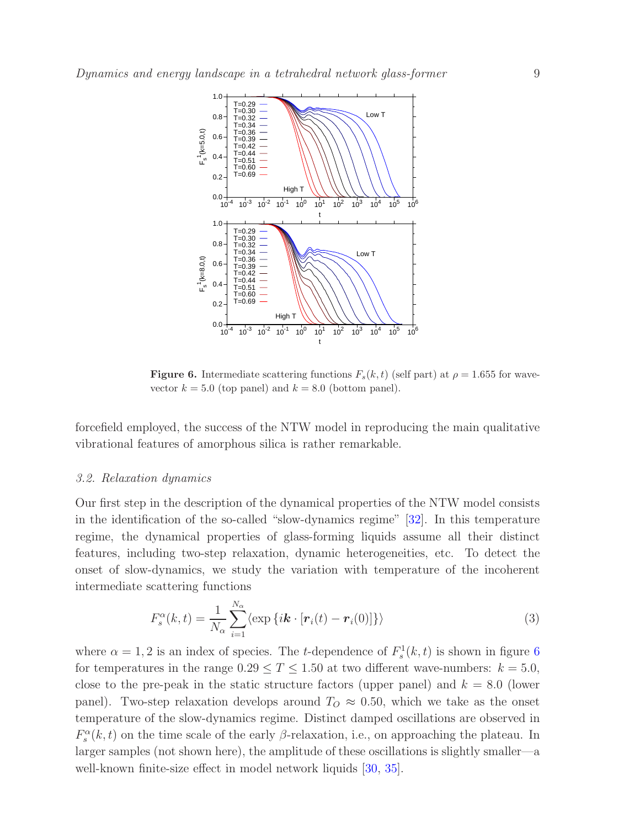

<span id="page-8-0"></span>**Figure 6.** Intermediate scattering functions  $F_s(k, t)$  (self part) at  $\rho = 1.655$  for wavevector  $k = 5.0$  (top panel) and  $k = 8.0$  (bottom panel).

forcefield employed, the success of the NTW model in reproducing the main qualitative vibrational features of amorphous silica is rather remarkable.

#### 3.2. Relaxation dynamics

Our first step in the description of the dynamical properties of the NTW model consists in the identification of the so-called "slow-dynamics regime" [\[32\]](#page-24-16). In this temperature regime, the dynamical properties of glass-forming liquids assume all their distinct features, including two-step relaxation, dynamic heterogeneities, etc. To detect the onset of slow-dynamics, we study the variation with temperature of the incoherent intermediate scattering functions

$$
F_s^{\alpha}(k,t) = \frac{1}{N_{\alpha}} \sum_{i=1}^{N_{\alpha}} \langle \exp \{ i \boldsymbol{k} \cdot [\boldsymbol{r}_i(t) - \boldsymbol{r}_i(0)] \} \rangle \tag{3}
$$

where  $\alpha = 1, 2$  is an index of species. The *t*-dependence of  $F_s^1(k, t)$  is shown in figure [6](#page-8-0) for temperatures in the range  $0.29 \leq T \leq 1.50$  at two different wave-numbers:  $k = 5.0$ , close to the pre-peak in the static structure factors (upper panel) and  $k = 8.0$  (lower panel). Two-step relaxation develops around  $T<sub>O</sub> \approx 0.50$ , which we take as the onset temperature of the slow-dynamics regime. Distinct damped oscillations are observed in  $F_s^{\alpha}(k, t)$  on the time scale of the early  $\beta$ -relaxation, i.e., on approaching the plateau. In larger samples (not shown here), the amplitude of these oscillations is slightly smaller—a well-known finite-size effect in model network liquids [\[30,](#page-24-14) [35\]](#page-24-19).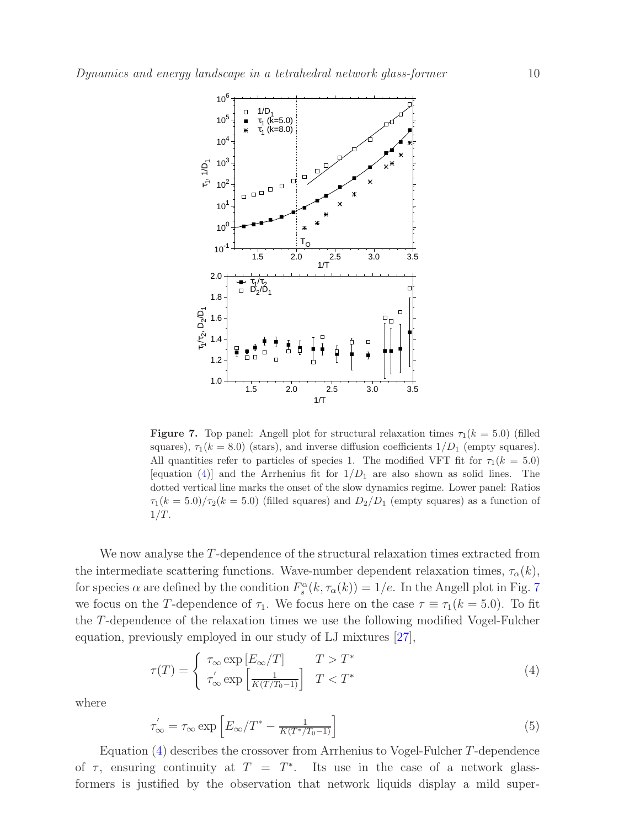

<span id="page-9-1"></span>**Figure 7.** Top panel: Angell plot for structural relaxation times  $\tau_1(k = 5.0)$  (filled squares),  $\tau_1(k = 8.0)$  (stars), and inverse diffusion coefficients  $1/D_1$  (empty squares). All quantities refer to particles of species 1. The modified VFT fit for  $\tau_1(k = 5.0)$ [equation [\(4\)](#page-9-0)] and the Arrhenius fit for  $1/D_1$  are also shown as solid lines. The dotted vertical line marks the onset of the slow dynamics regime. Lower panel: Ratios  $\tau_1(k=5.0)/\tau_2(k=5.0)$  (filled squares) and  $D_2/D_1$  (empty squares) as a function of  $1/T$ .

We now analyse the T-dependence of the structural relaxation times extracted from the intermediate scattering functions. Wave-number dependent relaxation times,  $\tau_{\alpha}(k)$ , for species  $\alpha$  are defined by the condition  $F_s^{\alpha}(k, \tau_{\alpha}(k)) = 1/e$ . In the Angell plot in Fig. [7](#page-9-1) we focus on the T-dependence of  $\tau_1$ . We focus here on the case  $\tau \equiv \tau_1(k = 5.0)$ . To fit the T-dependence of the relaxation times we use the following modified Vogel-Fulcher equation, previously employed in our study of LJ mixtures [\[27\]](#page-24-11),

<span id="page-9-0"></span>
$$
\tau(T) = \begin{cases} \tau_{\infty} \exp\left[E_{\infty}/T\right] & T > T^* \\ \tau_{\infty}' \exp\left[\frac{1}{K(T/T_0 - 1)}\right] & T < T^* \end{cases}
$$
\n(4)

where

$$
\tau_{\infty}^{\prime} = \tau_{\infty} \exp\left[E_{\infty}/T^* - \frac{1}{K(T^*/T_0 - 1)}\right]
$$
\n(5)

Equation [\(4\)](#page-9-0) describes the crossover from Arrhenius to Vogel-Fulcher T-dependence of  $\tau$ , ensuring continuity at  $T = T^*$ . Its use in the case of a network glassformers is justified by the observation that network liquids display a mild super-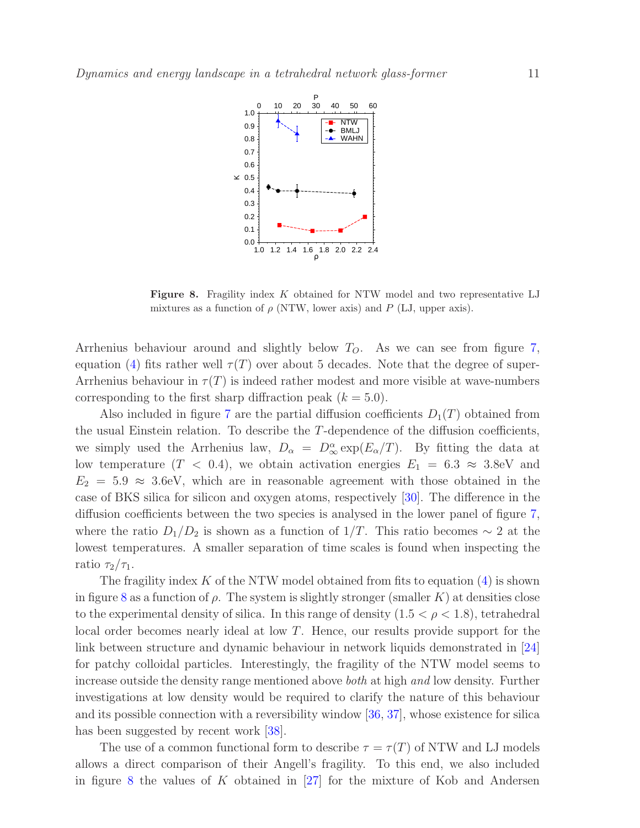

<span id="page-10-0"></span>Figure 8. Fragility index K obtained for NTW model and two representative LJ mixtures as a function of  $\rho$  (NTW, lower axis) and P (LJ, upper axis).

Arrhenius behaviour around and slightly below  $T<sub>O</sub>$ . As we can see from figure [7,](#page-9-1) equation [\(4\)](#page-9-0) fits rather well  $\tau(T)$  over about 5 decades. Note that the degree of super-Arrhenius behaviour in  $\tau(T)$  is indeed rather modest and more visible at wave-numbers corresponding to the first sharp diffraction peak  $(k = 5.0)$ .

Also included in figure [7](#page-9-1) are the partial diffusion coefficients  $D_1(T)$  obtained from the usual Einstein relation. To describe the T-dependence of the diffusion coefficients, we simply used the Arrhenius law,  $D_{\alpha} = D_{\infty}^{\alpha} \exp(E_{\alpha}/T)$ . By fitting the data at low temperature  $(T < 0.4)$ , we obtain activation energies  $E_1 = 6.3 \approx 3.8$ eV and  $E_2 = 5.9 \approx 3.6$ eV, which are in reasonable agreement with those obtained in the case of BKS silica for silicon and oxygen atoms, respectively [\[30\]](#page-24-14). The difference in the diffusion coefficients between the two species is analysed in the lower panel of figure [7,](#page-9-1) where the ratio  $D_1/D_2$  is shown as a function of 1/T. This ratio becomes  $\sim 2$  at the lowest temperatures. A smaller separation of time scales is found when inspecting the ratio  $\tau_2/\tau_1$ .

The fragility index  $K$  of the NTW model obtained from fits to equation  $(4)$  is shown in figure [8](#page-10-0) as a function of  $\rho$ . The system is slightly stronger (smaller K) at densities close to the experimental density of silica. In this range of density  $(1.5 < \rho < 1.8)$ , tetrahedral local order becomes nearly ideal at low T. Hence, our results provide support for the link between structure and dynamic behaviour in network liquids demonstrated in [\[24\]](#page-24-8) for patchy colloidal particles. Interestingly, the fragility of the NTW model seems to increase outside the density range mentioned above both at high and low density. Further investigations at low density would be required to clarify the nature of this behaviour and its possible connection with a reversibility window [\[36,](#page-24-20) [37\]](#page-24-21), whose existence for silica has been suggested by recent work [\[38\]](#page-24-22).

The use of a common functional form to describe  $\tau = \tau(T)$  of NTW and LJ models allows a direct comparison of their Angell's fragility. To this end, we also included in figure [8](#page-10-0) the values of K obtained in  $[27]$  for the mixture of Kob and Andersen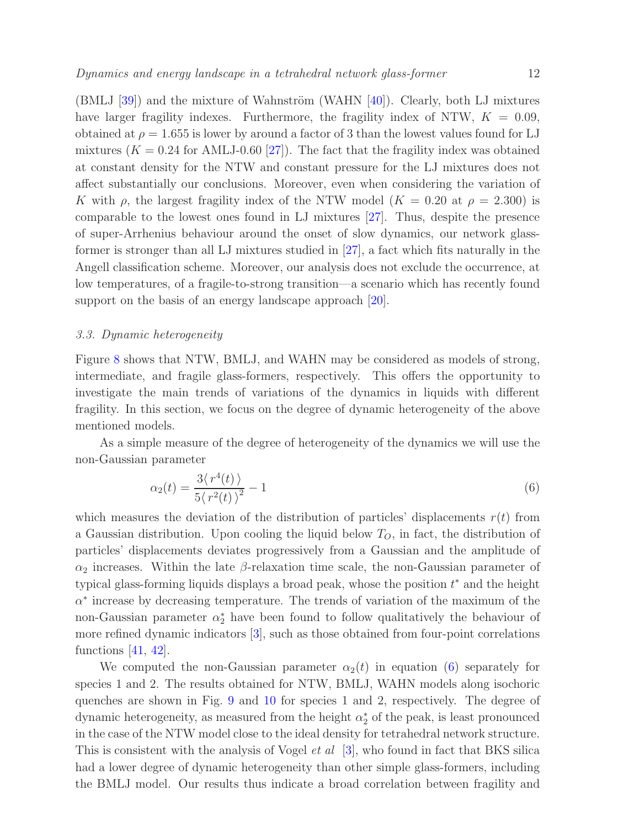$(BMLJ [39])$  $(BMLJ [39])$  $(BMLJ [39])$  and the mixture of Wahnström (WAHN  $[40]$ ). Clearly, both LJ mixtures have larger fragility indexes. Furthermore, the fragility index of NTW,  $K = 0.09$ , obtained at  $\rho = 1.655$  is lower by around a factor of 3 than the lowest values found for LJ mixtures  $(K = 0.24$  for AMLJ-0.60 [\[27\]](#page-24-11)). The fact that the fragility index was obtained at constant density for the NTW and constant pressure for the LJ mixtures does not affect substantially our conclusions. Moreover, even when considering the variation of K with  $\rho$ , the largest fragility index of the NTW model  $(K = 0.20$  at  $\rho = 2.300)$  is comparable to the lowest ones found in LJ mixtures [\[27\]](#page-24-11). Thus, despite the presence of super-Arrhenius behaviour around the onset of slow dynamics, our network glassformer is stronger than all LJ mixtures studied in [\[27\]](#page-24-11), a fact which fits naturally in the Angell classification scheme. Moreover, our analysis does not exclude the occurrence, at low temperatures, of a fragile-to-strong transition—a scenario which has recently found support on the basis of an energy landscape approach  $[20]$ .

## 3.3. Dynamic heterogeneity

Figure [8](#page-10-0) shows that NTW, BMLJ, and WAHN may be considered as models of strong, intermediate, and fragile glass-formers, respectively. This offers the opportunity to investigate the main trends of variations of the dynamics in liquids with different fragility. In this section, we focus on the degree of dynamic heterogeneity of the above mentioned models.

As a simple measure of the degree of heterogeneity of the dynamics we will use the non-Gaussian parameter

<span id="page-11-0"></span>
$$
\alpha_2(t) = \frac{3\langle r^4(t) \rangle}{5\langle r^2(t) \rangle^2} - 1\tag{6}
$$

which measures the deviation of the distribution of particles' displacements  $r(t)$  from a Gaussian distribution. Upon cooling the liquid below  $T<sub>O</sub>$ , in fact, the distribution of particles' displacements deviates progressively from a Gaussian and the amplitude of  $\alpha_2$  increases. Within the late  $\beta$ -relaxation time scale, the non-Gaussian parameter of typical glass-forming liquids displays a broad peak, whose the position  $t^*$  and the height  $\alpha^*$  increase by decreasing temperature. The trends of variation of the maximum of the non-Gaussian parameter  $\alpha_2^*$  have been found to follow qualitatively the behaviour of more refined dynamic indicators [\[3\]](#page-23-2), such as those obtained from four-point correlations functions  $[41, 42]$  $[41, 42]$ .

We computed the non-Gaussian parameter  $\alpha_2(t)$  in equation [\(6\)](#page-11-0) separately for species 1 and 2. The results obtained for NTW, BMLJ, WAHN models along isochoric quenches are shown in Fig. [9](#page-12-0) and [10](#page-13-0) for species 1 and 2, respectively. The degree of dynamic heterogeneity, as measured from the height  $\alpha_2^*$  of the peak, is least pronounced in the case of the NTW model close to the ideal density for tetrahedral network structure. This is consistent with the analysis of Vogel *et al* [\[3\]](#page-23-2), who found in fact that BKS silica had a lower degree of dynamic heterogeneity than other simple glass-formers, including the BMLJ model. Our results thus indicate a broad correlation between fragility and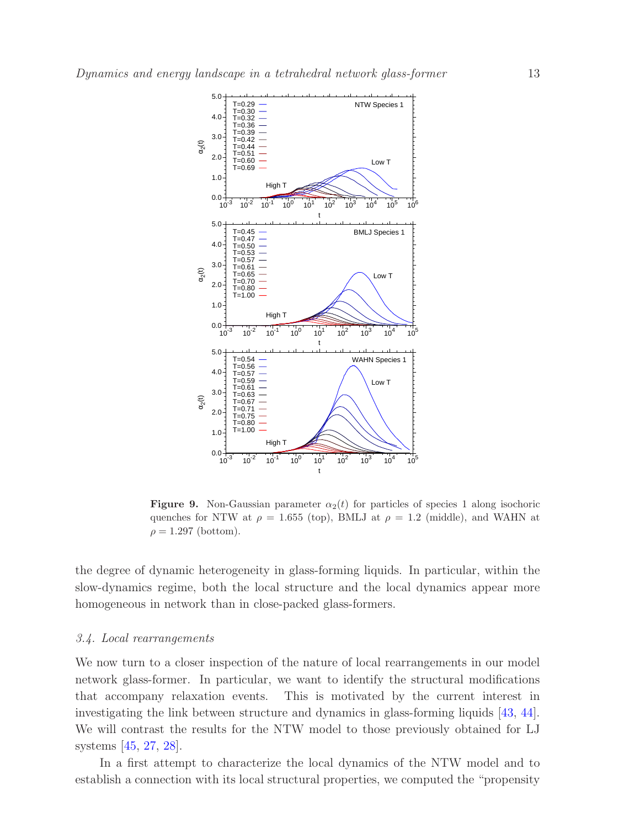

<span id="page-12-0"></span>**Figure 9.** Non-Gaussian parameter  $\alpha_2(t)$  for particles of species 1 along isochoric quenches for NTW at  $\rho = 1.655$  (top), BMLJ at  $\rho = 1.2$  (middle), and WAHN at  $\rho = 1.297$  (bottom).

the degree of dynamic heterogeneity in glass-forming liquids. In particular, within the slow-dynamics regime, both the local structure and the local dynamics appear more homogeneous in network than in close-packed glass-formers.

#### 3.4. Local rearrangements

We now turn to a closer inspection of the nature of local rearrangements in our model network glass-former. In particular, we want to identify the structural modifications that accompany relaxation events. This is motivated by the current interest in investigating the link between structure and dynamics in glass-forming liquids [\[43,](#page-24-27) [44\]](#page-24-28). We will contrast the results for the NTW model to those previously obtained for LJ systems [\[45,](#page-24-29) [27,](#page-24-11) [28\]](#page-24-12).

In a first attempt to characterize the local dynamics of the NTW model and to establish a connection with its local structural properties, we computed the "propensity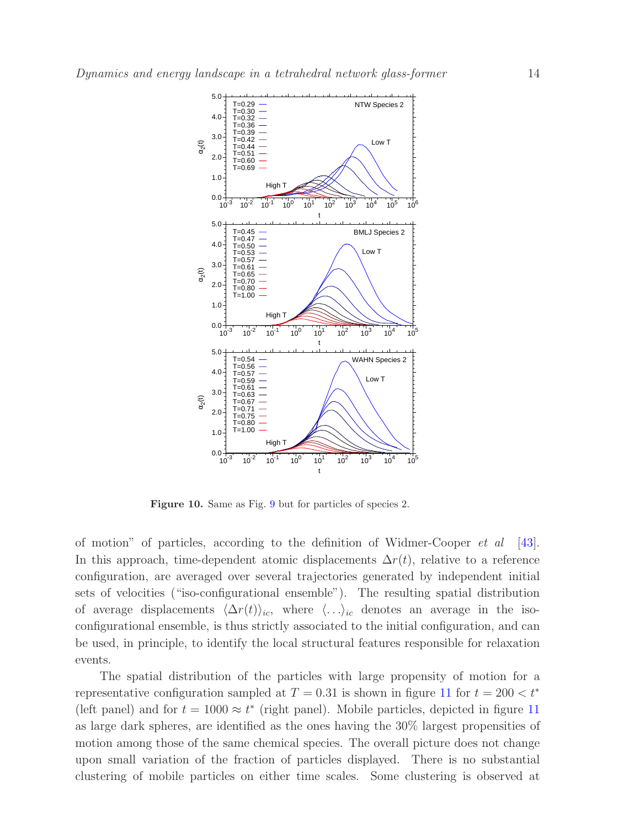

<span id="page-13-0"></span>Figure 10. Same as Fig. [9](#page-12-0) but for particles of species 2.

of motion" of particles, according to the definition of Widmer-Cooper  $et \ al$  [\[43\]](#page-24-27). In this approach, time-dependent atomic displacements  $\Delta r(t)$ , relative to a reference configuration, are averaged over several trajectories generated by independent initial sets of velocities ("iso-configurational ensemble"). The resulting spatial distribution of average displacements  $\langle \Delta r(t) \rangle_{ic}$ , where  $\langle ... \rangle_{ic}$  denotes an average in the isoconfigurational ensemble, is thus strictly associated to the initial configuration, and can be used, in principle, to identify the local structural features responsible for relaxation events.

The spatial distribution of the particles with large propensity of motion for a representative configuration sampled at  $T = 0.31$  is shown in figure [11](#page-14-0) for  $t = 200 < t^*$ (left panel) and for  $t = 1000 \approx t^*$  (right panel). Mobile particles, depicted in figure [11](#page-14-0) as large dark spheres, are identified as the ones having the 30% largest propensities of motion among those of the same chemical species. The overall picture does not change upon small variation of the fraction of particles displayed. There is no substantial clustering of mobile particles on either time scales. Some clustering is observed at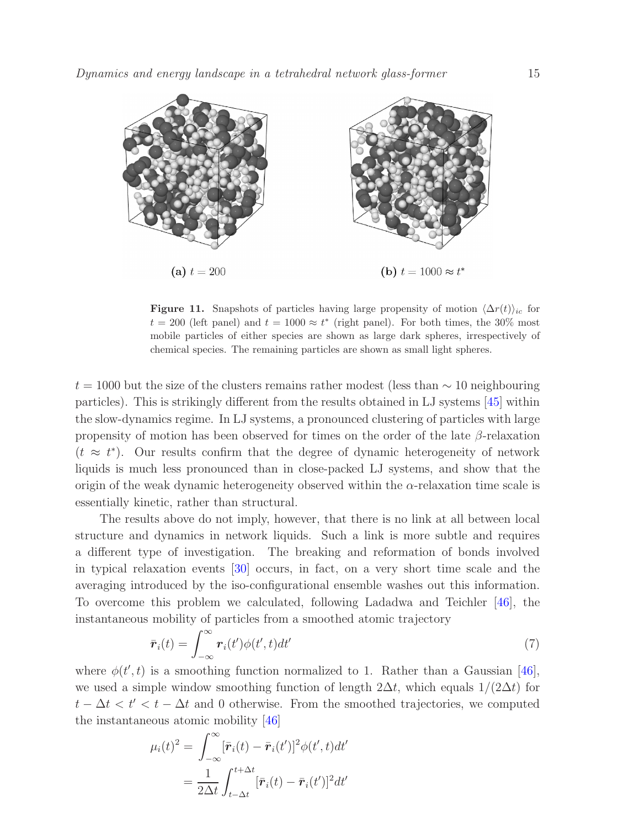

<span id="page-14-0"></span>Figure 11. Snapshots of particles having large propensity of motion  $\langle\Delta r(t)\rangle_{ic}$  for  $t = 200$  (left panel) and  $t = 1000 \approx t^*$  (right panel). For both times, the 30% most mobile particles of either species are shown as large dark spheres, irrespectively of chemical species. The remaining particles are shown as small light spheres.

 $t = 1000$  but the size of the clusters remains rather modest (less than  $\sim 10$  neighbouring particles). This is strikingly different from the results obtained in LJ systems [\[45\]](#page-24-29) within the slow-dynamics regime. In LJ systems, a pronounced clustering of particles with large propensity of motion has been observed for times on the order of the late  $\beta$ -relaxation  $(t \approx t^*)$ . Our results confirm that the degree of dynamic heterogeneity of network liquids is much less pronounced than in close-packed LJ systems, and show that the origin of the weak dynamic heterogeneity observed within the  $\alpha$ -relaxation time scale is essentially kinetic, rather than structural.

The results above do not imply, however, that there is no link at all between local structure and dynamics in network liquids. Such a link is more subtle and requires a different type of investigation. The breaking and reformation of bonds involved in typical relaxation events [\[30\]](#page-24-14) occurs, in fact, on a very short time scale and the averaging introduced by the iso-configurational ensemble washes out this information. To overcome this problem we calculated, following Ladadwa and Teichler [\[46\]](#page-24-30), the instantaneous mobility of particles from a smoothed atomic trajectory

$$
\bar{\boldsymbol{r}}_i(t) = \int_{-\infty}^{\infty} \boldsymbol{r}_i(t') \phi(t', t) dt'
$$
\n(7)

where  $\phi(t',t)$  is a smoothing function normalized to 1. Rather than a Gaussian [\[46\]](#page-24-30), we used a simple window smoothing function of length  $2\Delta t$ , which equals  $1/(2\Delta t)$  for  $t - \Delta t < t' < t - \Delta t$  and 0 otherwise. From the smoothed trajectories, we computed the instantaneous atomic mobility [\[46\]](#page-24-30)

$$
\mu_i(t)^2 = \int_{-\infty}^{\infty} [\bar{\mathbf{r}}_i(t) - \bar{\mathbf{r}}_i(t')]^2 \phi(t', t) dt'
$$

$$
= \frac{1}{2\Delta t} \int_{t-\Delta t}^{t+\Delta t} [\bar{\mathbf{r}}_i(t) - \bar{\mathbf{r}}_i(t')]^2 dt'
$$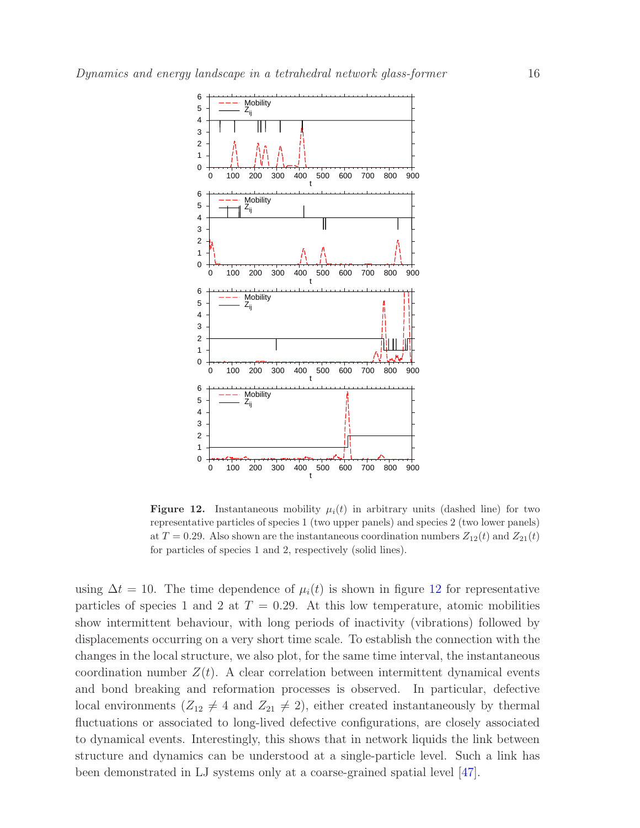

<span id="page-15-0"></span>**Figure 12.** Instantaneous mobility  $\mu_i(t)$  in arbitrary units (dashed line) for two representative particles of species 1 (two upper panels) and species 2 (two lower panels) at  $T = 0.29$ . Also shown are the instantaneous coordination numbers  $Z_{12}(t)$  and  $Z_{21}(t)$ for particles of species 1 and 2, respectively (solid lines).

using  $\Delta t = 10$ . The time dependence of  $\mu_i(t)$  is shown in figure [12](#page-15-0) for representative particles of species 1 and 2 at  $T = 0.29$ . At this low temperature, atomic mobilities show intermittent behaviour, with long periods of inactivity (vibrations) followed by displacements occurring on a very short time scale. To establish the connection with the changes in the local structure, we also plot, for the same time interval, the instantaneous coordination number  $Z(t)$ . A clear correlation between intermittent dynamical events and bond breaking and reformation processes is observed. In particular, defective local environments  $(Z_{12} \neq 4$  and  $Z_{21} \neq 2)$ , either created instantaneously by thermal fluctuations or associated to long-lived defective configurations, are closely associated to dynamical events. Interestingly, this shows that in network liquids the link between structure and dynamics can be understood at a single-particle level. Such a link has been demonstrated in LJ systems only at a coarse-grained spatial level [\[47\]](#page-24-31).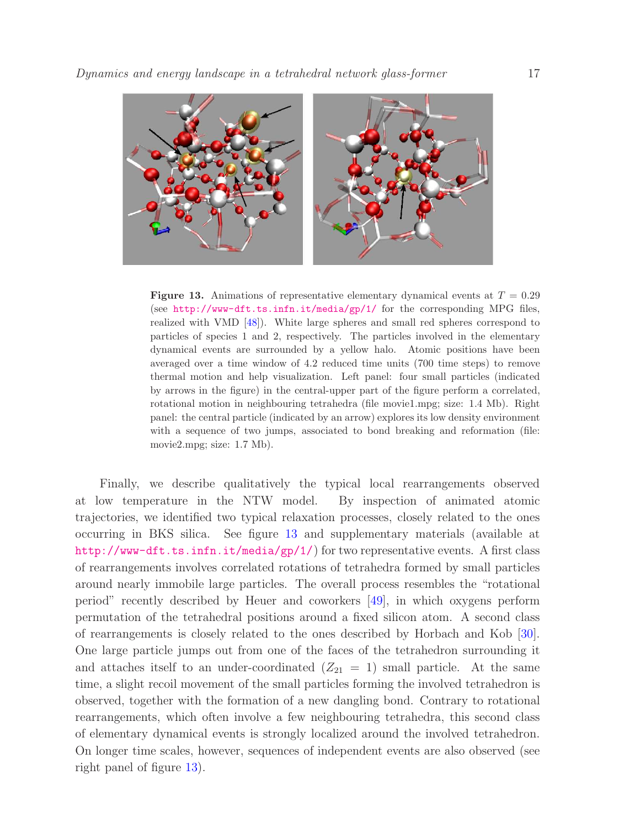

<span id="page-16-0"></span>**Figure 13.** Animations of representative elementary dynamical events at  $T = 0.29$ (see <http://www-dft.ts.infn.it/media/gp/1/> for the corresponding MPG files, realized with VMD [\[48\]](#page-24-32)). White large spheres and small red spheres correspond to particles of species 1 and 2, respectively. The particles involved in the elementary dynamical events are surrounded by a yellow halo. Atomic positions have been averaged over a time window of 4.2 reduced time units (700 time steps) to remove thermal motion and help visualization. Left panel: four small particles (indicated by arrows in the figure) in the central-upper part of the figure perform a correlated, rotational motion in neighbouring tetrahedra (file movie1.mpg; size: 1.4 Mb). Right panel: the central particle (indicated by an arrow) explores its low density environment with a sequence of two jumps, associated to bond breaking and reformation (file: movie2.mpg; size: 1.7 Mb).

Finally, we describe qualitatively the typical local rearrangements observed at low temperature in the NTW model. By inspection of animated atomic trajectories, we identified two typical relaxation processes, closely related to the ones occurring in BKS silica. See figure [13](#page-16-0) and supplementary materials (available at <http://www-dft.ts.infn.it/media/gp/1/>) for two representative events. A first class of rearrangements involves correlated rotations of tetrahedra formed by small particles around nearly immobile large particles. The overall process resembles the "rotational period" recently described by Heuer and coworkers [\[49\]](#page-24-33), in which oxygens perform permutation of the tetrahedral positions around a fixed silicon atom. A second class of rearrangements is closely related to the ones described by Horbach and Kob [\[30\]](#page-24-14). One large particle jumps out from one of the faces of the tetrahedron surrounding it and attaches itself to an under-coordinated  $(Z_{21} = 1)$  small particle. At the same time, a slight recoil movement of the small particles forming the involved tetrahedron is observed, together with the formation of a new dangling bond. Contrary to rotational rearrangements, which often involve a few neighbouring tetrahedra, this second class of elementary dynamical events is strongly localized around the involved tetrahedron. On longer time scales, however, sequences of independent events are also observed (see right panel of figure [13\)](#page-16-0).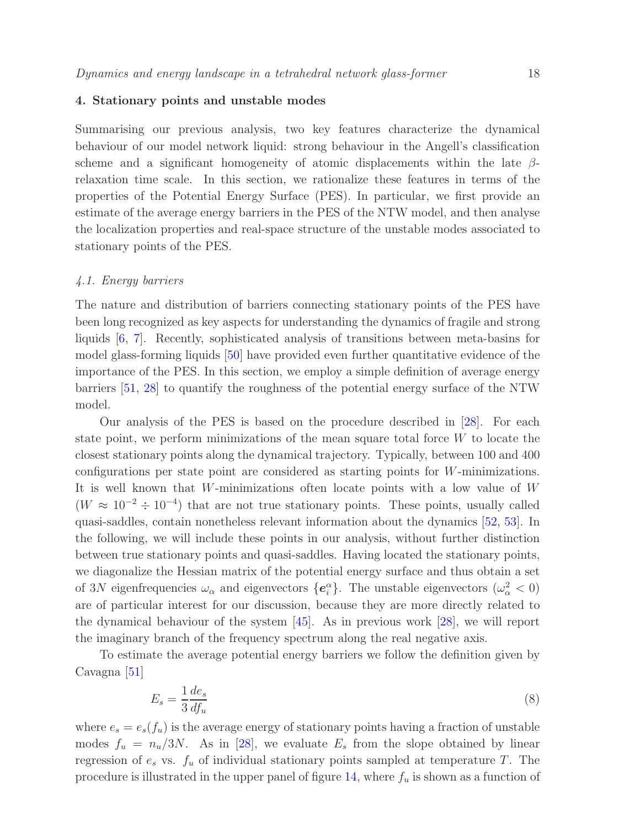## <span id="page-17-0"></span>4. Stationary points and unstable modes

Summarising our previous analysis, two key features characterize the dynamical behaviour of our model network liquid: strong behaviour in the Angell's classification scheme and a significant homogeneity of atomic displacements within the late  $\beta$ relaxation time scale. In this section, we rationalize these features in terms of the properties of the Potential Energy Surface (PES). In particular, we first provide an estimate of the average energy barriers in the PES of the NTW model, and then analyse the localization properties and real-space structure of the unstable modes associated to stationary points of the PES.

## 4.1. Energy barriers

The nature and distribution of barriers connecting stationary points of the PES have been long recognized as key aspects for understanding the dynamics of fragile and strong liquids [\[6,](#page-23-5) [7\]](#page-23-6). Recently, sophisticated analysis of transitions between meta-basins for model glass-forming liquids [\[50\]](#page-24-34) have provided even further quantitative evidence of the importance of the PES. In this section, we employ a simple definition of average energy barriers [\[51,](#page-24-35) [28\]](#page-24-12) to quantify the roughness of the potential energy surface of the NTW model.

Our analysis of the PES is based on the procedure described in [\[28\]](#page-24-12). For each state point, we perform minimizations of the mean square total force  $W$  to locate the closest stationary points along the dynamical trajectory. Typically, between 100 and 400 configurations per state point are considered as starting points for W-minimizations. It is well known that W-minimizations often locate points with a low value of  $W$  $(W \approx 10^{-2} \div 10^{-4})$  that are not true stationary points. These points, usually called quasi-saddles, contain nonetheless relevant information about the dynamics [\[52,](#page-24-36) [53\]](#page-24-37). In the following, we will include these points in our analysis, without further distinction between true stationary points and quasi-saddles. Having located the stationary points, we diagonalize the Hessian matrix of the potential energy surface and thus obtain a set of 3N eigenfrequencies  $\omega_{\alpha}$  and eigenvectors  $\{e_i^{\alpha}\}\$ . The unstable eigenvectors  $(\omega_{\alpha}^2 < 0)$ are of particular interest for our discussion, because they are more directly related to the dynamical behaviour of the system [\[45\]](#page-24-29). As in previous work [\[28\]](#page-24-12), we will report the imaginary branch of the frequency spectrum along the real negative axis.

To estimate the average potential energy barriers we follow the definition given by Cavagna [\[51\]](#page-24-35)

$$
E_s = \frac{1}{3} \frac{de_s}{df_u} \tag{8}
$$

where  $e_s = e_s(f_u)$  is the average energy of stationary points having a fraction of unstable modes  $f_u = n_u/3N$ . As in [\[28\]](#page-24-12), we evaluate  $E_s$  from the slope obtained by linear regression of  $e_s$  vs.  $f_u$  of individual stationary points sampled at temperature T. The procedure is illustrated in the upper panel of figure [14,](#page-18-0) where  $f_u$  is shown as a function of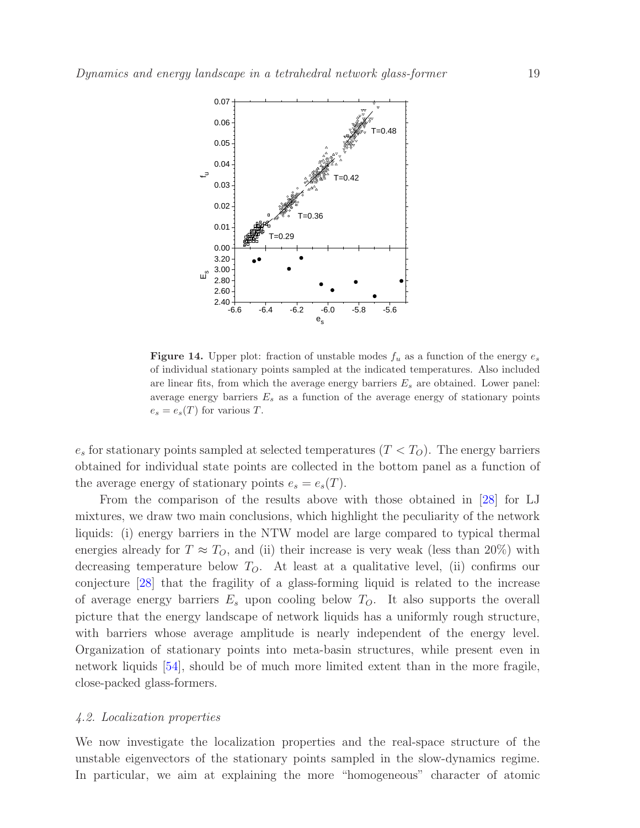

<span id="page-18-0"></span>**Figure 14.** Upper plot: fraction of unstable modes  $f_u$  as a function of the energy  $e_s$ of individual stationary points sampled at the indicated temperatures. Also included are linear fits, from which the average energy barriers  $E_s$  are obtained. Lower panel: average energy barriers  $E_s$  as a function of the average energy of stationary points  $e_s = e_s(T)$  for various T.

 $e_s$  for stationary points sampled at selected temperatures  $(T < T<sub>O</sub>)$ . The energy barriers obtained for individual state points are collected in the bottom panel as a function of the average energy of stationary points  $e_s = e_s(T)$ .

From the comparison of the results above with those obtained in [\[28\]](#page-24-12) for LJ mixtures, we draw two main conclusions, which highlight the peculiarity of the network liquids: (i) energy barriers in the NTW model are large compared to typical thermal energies already for  $T \approx T_O$ , and (ii) their increase is very weak (less than 20%) with decreasing temperature below  $T<sub>O</sub>$ . At least at a qualitative level, (ii) confirms our conjecture [\[28\]](#page-24-12) that the fragility of a glass-forming liquid is related to the increase of average energy barriers  $E_s$  upon cooling below  $T_O$ . It also supports the overall picture that the energy landscape of network liquids has a uniformly rough structure, with barriers whose average amplitude is nearly independent of the energy level. Organization of stationary points into meta-basin structures, while present even in network liquids [\[54\]](#page-24-38), should be of much more limited extent than in the more fragile, close-packed glass-formers.

## 4.2. Localization properties

We now investigate the localization properties and the real-space structure of the unstable eigenvectors of the stationary points sampled in the slow-dynamics regime. In particular, we aim at explaining the more "homogeneous" character of atomic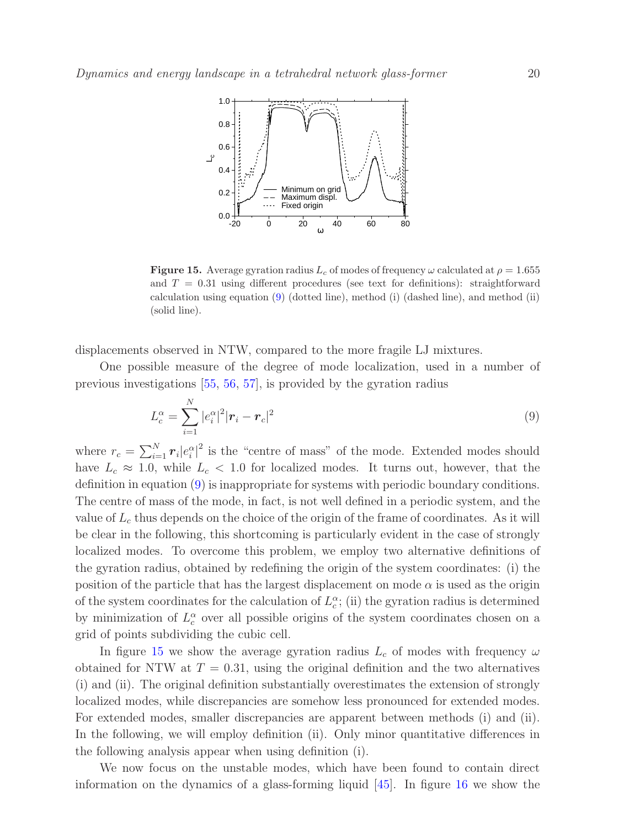

<span id="page-19-1"></span>**Figure 15.** Average gyration radius  $L_c$  of modes of frequency  $\omega$  calculated at  $\rho = 1.655$ and  $T = 0.31$  using different procedures (see text for definitions): straightforward calculation using equation [\(9\)](#page-19-0) (dotted line), method (i) (dashed line), and method (ii) (solid line).

displacements observed in NTW, compared to the more fragile LJ mixtures.

One possible measure of the degree of mode localization, used in a number of previous investigations [\[55,](#page-24-39) [56,](#page-24-40) [57\]](#page-24-41), is provided by the gyration radius

<span id="page-19-0"></span>
$$
L_c^{\alpha} = \sum_{i=1}^{N} |e_i^{\alpha}|^2 |\bm{r}_i - \bm{r}_c|^2
$$
\n(9)

where  $r_c = \sum_{i=1}^{N} r_i |e_i^{\alpha}|^2$  is the "centre of mass" of the mode. Extended modes should have  $L_c \approx 1.0$ , while  $L_c < 1.0$  for localized modes. It turns out, however, that the definition in equation [\(9\)](#page-19-0) is inappropriate for systems with periodic boundary conditions. The centre of mass of the mode, in fact, is not well defined in a periodic system, and the value of  $L_c$  thus depends on the choice of the origin of the frame of coordinates. As it will be clear in the following, this shortcoming is particularly evident in the case of strongly localized modes. To overcome this problem, we employ two alternative definitions of the gyration radius, obtained by redefining the origin of the system coordinates: (i) the position of the particle that has the largest displacement on mode  $\alpha$  is used as the origin of the system coordinates for the calculation of  $L_c^{\alpha}$ ; (ii) the gyration radius is determined by minimization of  $L_c^{\alpha}$  over all possible origins of the system coordinates chosen on a grid of points subdividing the cubic cell.

In figure [15](#page-19-1) we show the average gyration radius  $L_c$  of modes with frequency  $\omega$ obtained for NTW at  $T = 0.31$ , using the original definition and the two alternatives (i) and (ii). The original definition substantially overestimates the extension of strongly localized modes, while discrepancies are somehow less pronounced for extended modes. For extended modes, smaller discrepancies are apparent between methods (i) and (ii). In the following, we will employ definition (ii). Only minor quantitative differences in the following analysis appear when using definition (i).

We now focus on the unstable modes, which have been found to contain direct information on the dynamics of a glass-forming liquid  $[45]$ . In figure [16](#page-20-0) we show the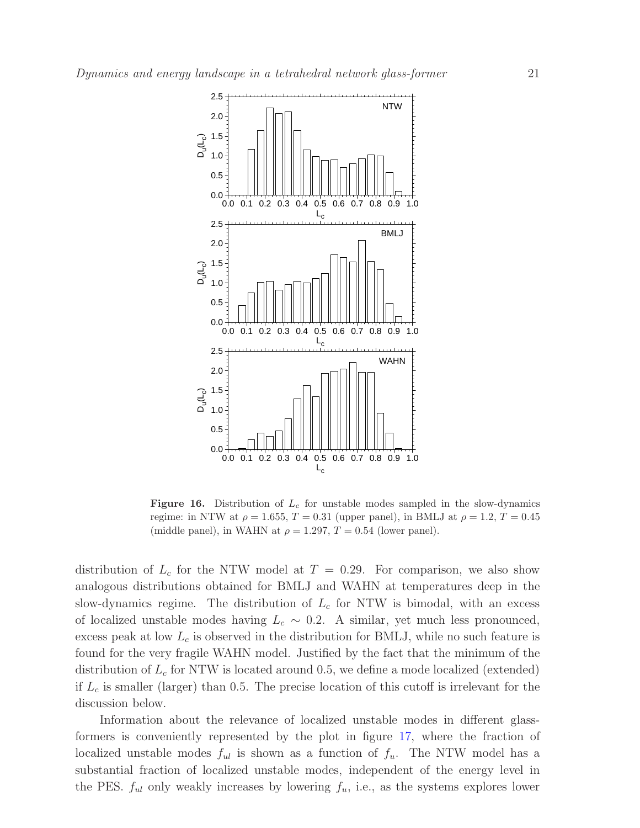

<span id="page-20-0"></span>**Figure 16.** Distribution of  $L_c$  for unstable modes sampled in the slow-dynamics regime: in NTW at  $\rho = 1.655$ ,  $T = 0.31$  (upper panel), in BMLJ at  $\rho = 1.2$ ,  $T = 0.45$ (middle panel), in WAHN at  $\rho = 1.297$ ,  $T = 0.54$  (lower panel).

distribution of  $L_c$  for the NTW model at  $T = 0.29$ . For comparison, we also show analogous distributions obtained for BMLJ and WAHN at temperatures deep in the slow-dynamics regime. The distribution of  $L_c$  for NTW is bimodal, with an excess of localized unstable modes having  $L_c \sim 0.2$ . A similar, yet much less pronounced, excess peak at low  $L_c$  is observed in the distribution for BMLJ, while no such feature is found for the very fragile WAHN model. Justified by the fact that the minimum of the distribution of  $L_c$  for NTW is located around 0.5, we define a mode localized (extended) if  $L_c$  is smaller (larger) than 0.5. The precise location of this cutoff is irrelevant for the discussion below.

Information about the relevance of localized unstable modes in different glassformers is conveniently represented by the plot in figure [17,](#page-21-0) where the fraction of localized unstable modes  $f_{ul}$  is shown as a function of  $f_{u}$ . The NTW model has a substantial fraction of localized unstable modes, independent of the energy level in the PES.  $f_{ul}$  only weakly increases by lowering  $f_u$ , i.e., as the systems explores lower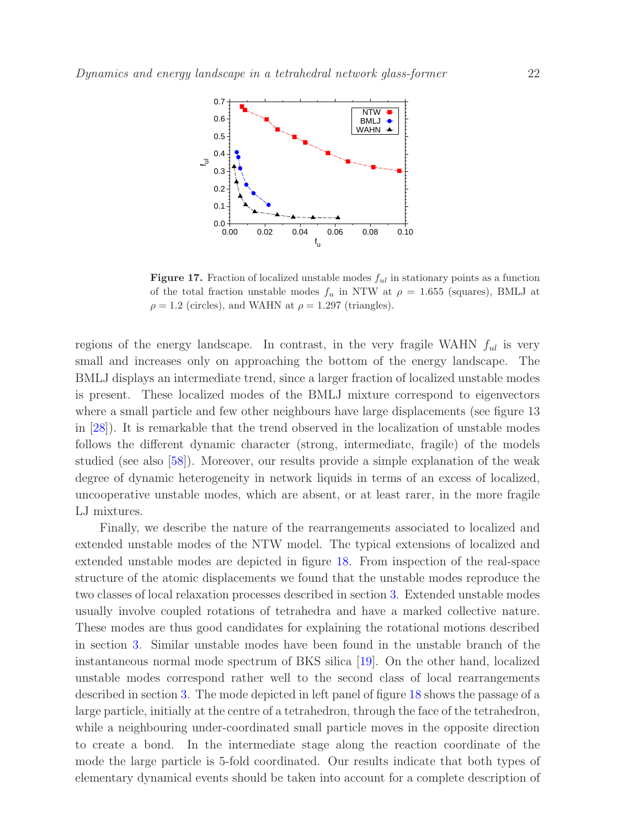

<span id="page-21-0"></span>**Figure 17.** Fraction of localized unstable modes  $f_{ul}$  in stationary points as a function of the total fraction unstable modes  $f_u$  in NTW at  $\rho = 1.655$  (squares), BMLJ at  $\rho = 1.2$  (circles), and WAHN at  $\rho = 1.297$  (triangles).

regions of the energy landscape. In contrast, in the very fragile WAHN  $f_{ul}$  is very small and increases only on approaching the bottom of the energy landscape. The BMLJ displays an intermediate trend, since a larger fraction of localized unstable modes is present. These localized modes of the BMLJ mixture correspond to eigenvectors where a small particle and few other neighbours have large displacements (see figure 13 in [\[28\]](#page-24-12)). It is remarkable that the trend observed in the localization of unstable modes follows the different dynamic character (strong, intermediate, fragile) of the models studied (see also [\[58\]](#page-24-42)). Moreover, our results provide a simple explanation of the weak degree of dynamic heterogeneity in network liquids in terms of an excess of localized, uncooperative unstable modes, which are absent, or at least rarer, in the more fragile LJ mixtures.

Finally, we describe the nature of the rearrangements associated to localized and extended unstable modes of the NTW model. The typical extensions of localized and extended unstable modes are depicted in figure [18.](#page-22-1) From inspection of the real-space structure of the atomic displacements we found that the unstable modes reproduce the two classes of local relaxation processes described in section [3.](#page-4-0) Extended unstable modes usually involve coupled rotations of tetrahedra and have a marked collective nature. These modes are thus good candidates for explaining the rotational motions described in section [3.](#page-4-0) Similar unstable modes have been found in the unstable branch of the instantaneous normal mode spectrum of BKS silica [\[19\]](#page-24-3). On the other hand, localized unstable modes correspond rather well to the second class of local rearrangements described in section [3.](#page-4-0) The mode depicted in left panel of figure [18](#page-22-1) shows the passage of a large particle, initially at the centre of a tetrahedron, through the face of the tetrahedron, while a neighbouring under-coordinated small particle moves in the opposite direction to create a bond. In the intermediate stage along the reaction coordinate of the mode the large particle is 5-fold coordinated. Our results indicate that both types of elementary dynamical events should be taken into account for a complete description of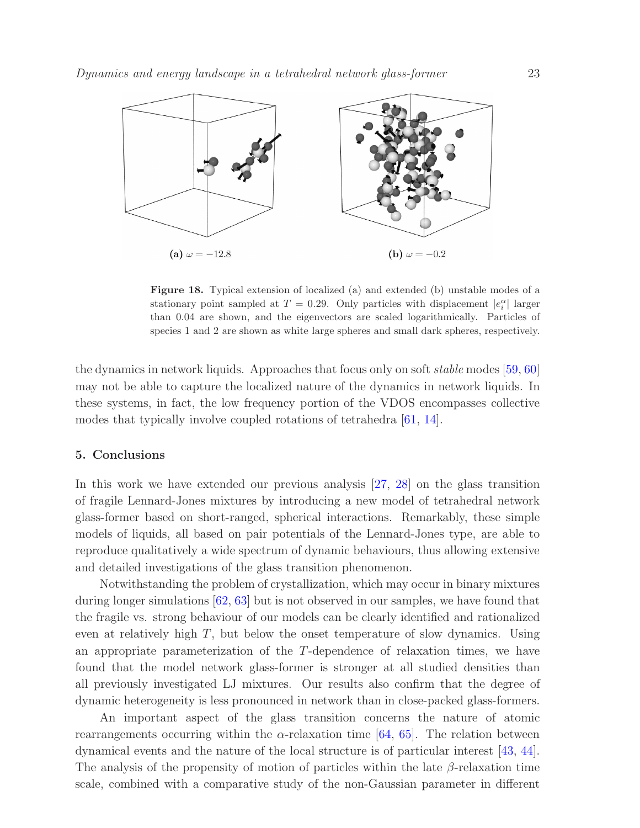

<span id="page-22-1"></span>Figure 18. Typical extension of localized (a) and extended (b) unstable modes of a stationary point sampled at  $T = 0.29$ . Only particles with displacement  $|e_i^{\alpha}|$  larger than 0.04 are shown, and the eigenvectors are scaled logarithmically. Particles of species 1 and 2 are shown as white large spheres and small dark spheres, respectively.

the dynamics in network liquids. Approaches that focus only on soft stable modes [\[59,](#page-24-43) [60\]](#page-24-44) may not be able to capture the localized nature of the dynamics in network liquids. In these systems, in fact, the low frequency portion of the VDOS encompasses collective modes that typically involve coupled rotations of tetrahedra [\[61,](#page-24-45) [14\]](#page-23-13).

## <span id="page-22-0"></span>5. Conclusions

In this work we have extended our previous analysis [\[27,](#page-24-11) [28\]](#page-24-12) on the glass transition of fragile Lennard-Jones mixtures by introducing a new model of tetrahedral network glass-former based on short-ranged, spherical interactions. Remarkably, these simple models of liquids, all based on pair potentials of the Lennard-Jones type, are able to reproduce qualitatively a wide spectrum of dynamic behaviours, thus allowing extensive and detailed investigations of the glass transition phenomenon.

Notwithstanding the problem of crystallization, which may occur in binary mixtures during longer simulations [\[62,](#page-24-46) [63\]](#page-24-47) but is not observed in our samples, we have found that the fragile vs. strong behaviour of our models can be clearly identified and rationalized even at relatively high  $T$ , but below the onset temperature of slow dynamics. Using an appropriate parameterization of the T-dependence of relaxation times, we have found that the model network glass-former is stronger at all studied densities than all previously investigated LJ mixtures. Our results also confirm that the degree of dynamic heterogeneity is less pronounced in network than in close-packed glass-formers.

An important aspect of the glass transition concerns the nature of atomic rearrangements occurring within the  $\alpha$ -relaxation time [\[64,](#page-25-0) [65\]](#page-25-1). The relation between dynamical events and the nature of the local structure is of particular interest [\[43,](#page-24-27) [44\]](#page-24-28). The analysis of the propensity of motion of particles within the late  $\beta$ -relaxation time scale, combined with a comparative study of the non-Gaussian parameter in different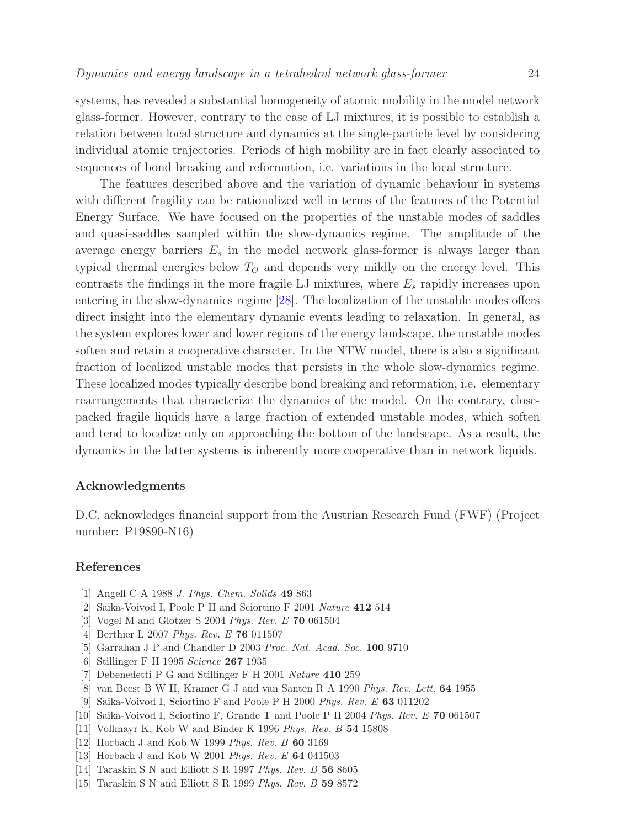systems, has revealed a substantial homogeneity of atomic mobility in the model network glass-former. However, contrary to the case of LJ mixtures, it is possible to establish a relation between local structure and dynamics at the single-particle level by considering individual atomic trajectories. Periods of high mobility are in fact clearly associated to sequences of bond breaking and reformation, i.e. variations in the local structure.

The features described above and the variation of dynamic behaviour in systems with different fragility can be rationalized well in terms of the features of the Potential Energy Surface. We have focused on the properties of the unstable modes of saddles and quasi-saddles sampled within the slow-dynamics regime. The amplitude of the average energy barriers  $E_s$  in the model network glass-former is always larger than typical thermal energies below  $T<sub>O</sub>$  and depends very mildly on the energy level. This contrasts the findings in the more fragile LJ mixtures, where  $E_s$  rapidly increases upon entering in the slow-dynamics regime [\[28\]](#page-24-12). The localization of the unstable modes offers direct insight into the elementary dynamic events leading to relaxation. In general, as the system explores lower and lower regions of the energy landscape, the unstable modes soften and retain a cooperative character. In the NTW model, there is also a significant fraction of localized unstable modes that persists in the whole slow-dynamics regime. These localized modes typically describe bond breaking and reformation, i.e. elementary rearrangements that characterize the dynamics of the model. On the contrary, closepacked fragile liquids have a large fraction of extended unstable modes, which soften and tend to localize only on approaching the bottom of the landscape. As a result, the dynamics in the latter systems is inherently more cooperative than in network liquids.

#### Acknowledgments

D.C. acknowledges financial support from the Austrian Research Fund (FWF) (Project number: P19890-N16)

## <span id="page-23-0"></span>References

- <span id="page-23-1"></span>[1] Angell C A 1988 *J. Phys. Chem. Solids* 49 863
- <span id="page-23-2"></span>[2] Saika-Voivod I, Poole P H and Sciortino F 2001 *Nature* 412 514
- <span id="page-23-3"></span>[3] Vogel M and Glotzer S 2004 *Phys. Rev. E* 70 061504
- <span id="page-23-4"></span>[4] Berthier L 2007 *Phys. Rev. E* 76 011507
- <span id="page-23-5"></span>[5] Garrahan J P and Chandler D 2003 *Proc. Nat. Acad. Soc.* 100 9710
- <span id="page-23-6"></span>[6] Stillinger F H 1995 *Science* 267 1935
- <span id="page-23-7"></span>[7] Debenedetti P G and Stillinger F H 2001 *Nature* 410 259
- <span id="page-23-8"></span>[8] van Beest B W H, Kramer G J and van Santen R A 1990 *Phys. Rev. Lett.* 64 1955
- <span id="page-23-9"></span>[9] Saika-Voivod I, Sciortino F and Poole P H 2000 *Phys. Rev. E* 63 011202
- <span id="page-23-10"></span>[10] Saika-Voivod I, Sciortino F, Grande T and Poole P H 2004 *Phys. Rev. E* 70 061507
- <span id="page-23-11"></span>[11] Vollmayr K, Kob W and Binder K 1996 *Phys. Rev. B* 54 15808
- <span id="page-23-12"></span>[12] Horbach J and Kob W 1999 *Phys. Rev. B* 60 3169
- <span id="page-23-13"></span>[13] Horbach J and Kob W 2001 *Phys. Rev. E* 64 041503
- <span id="page-23-14"></span>[14] Taraskin S N and Elliott S R 1997 *Phys. Rev. B* 56 8605
- [15] Taraskin S N and Elliott S R 1999 *Phys. Rev. B* 59 8572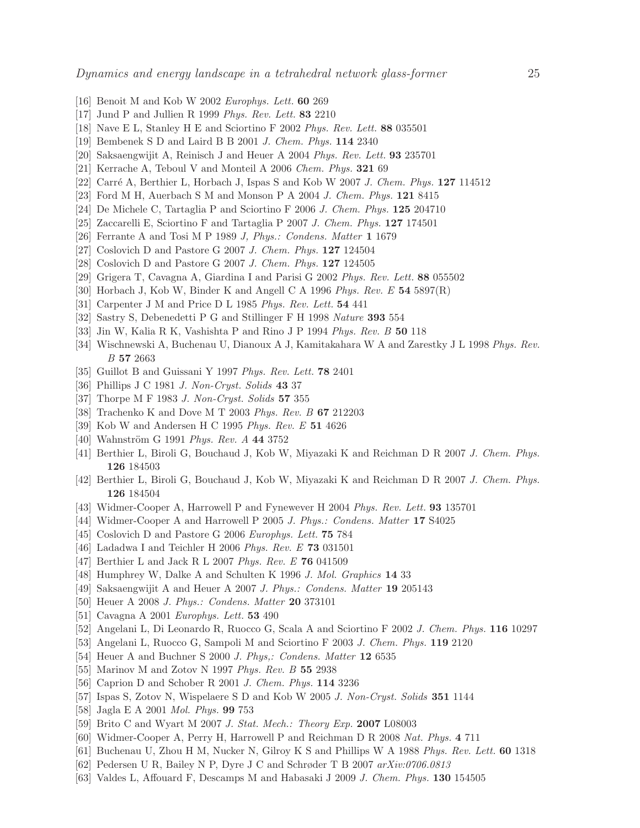- <span id="page-24-1"></span><span id="page-24-0"></span>[16] Benoit M and Kob W 2002 *Europhys. Lett.* 60 269
- <span id="page-24-2"></span>[17] Jund P and Jullien R 1999 *Phys. Rev. Lett.* 83 2210
- <span id="page-24-3"></span>[18] Nave E L, Stanley H E and Sciortino F 2002 *Phys. Rev. Lett.* 88 035501
- <span id="page-24-4"></span>[19] Bembenek S D and Laird B B 2001 *J. Chem. Phys.* 114 2340
- <span id="page-24-5"></span>[20] Saksaengwijit A, Reinisch J and Heuer A 2004 *Phys. Rev. Lett.* 93 235701
- <span id="page-24-6"></span>[21] Kerrache A, Teboul V and Monteil A 2006 *Chem. Phys.* 321 69
- <span id="page-24-7"></span>[22] Carr´e A, Berthier L, Horbach J, Ispas S and Kob W 2007 *J. Chem. Phys.* 127 114512
- <span id="page-24-8"></span>[23] Ford M H, Auerbach S M and Monson P A 2004 *J. Chem. Phys.* 121 8415
- <span id="page-24-9"></span>[24] De Michele C, Tartaglia P and Sciortino F 2006 *J. Chem. Phys.* 125 204710
- <span id="page-24-10"></span>[25] Zaccarelli E, Sciortino F and Tartaglia P 2007 *J. Chem. Phys.* 127 174501
- <span id="page-24-11"></span>[26] Ferrante A and Tosi M P 1989 *J, Phys.: Condens. Matter* 1 1679
- <span id="page-24-12"></span>[27] Coslovich D and Pastore G 2007 *J. Chem. Phys.* 127 124504
- <span id="page-24-13"></span>[28] Coslovich D and Pastore G 2007 *J. Chem. Phys.* 127 124505
- <span id="page-24-14"></span>[29] Grigera T, Cavagna A, Giardina I and Parisi G 2002 *Phys. Rev. Lett.* 88 055502
- <span id="page-24-15"></span>[30] Horbach J, Kob W, Binder K and Angell C A 1996 *Phys. Rev. E* 54 5897(R)
- <span id="page-24-16"></span>[31] Carpenter J M and Price D L 1985 *Phys. Rev. Lett.* 54 441
- <span id="page-24-17"></span>[32] Sastry S, Debenedetti P G and Stillinger F H 1998 *Nature* 393 554
- <span id="page-24-18"></span>[33] Jin W, Kalia R K, Vashishta P and Rino J P 1994 *Phys. Rev. B* 50 118
- <span id="page-24-19"></span>[34] Wischnewski A, Buchenau U, Dianoux A J, Kamitakahara W A and Zarestky J L 1998 *Phys. Rev. B* 57 2663
- <span id="page-24-20"></span>[35] Guillot B and Guissani Y 1997 *Phys. Rev. Lett.* 78 2401
- <span id="page-24-21"></span>[36] Phillips J C 1981 *J. Non-Cryst. Solids* 43 37
- <span id="page-24-22"></span>[37] Thorpe M F 1983 *J. Non-Cryst. Solids* 57 355
- <span id="page-24-23"></span>[38] Trachenko K and Dove M T 2003 *Phys. Rev. B* 67 212203
- <span id="page-24-24"></span>[39] Kob W and Andersen H C 1995 *Phys. Rev. E* 51 4626
- <span id="page-24-25"></span>[40] Wahnström G 1991 *Phys. Rev. A* 44 3752
- <span id="page-24-26"></span>[41] Berthier L, Biroli G, Bouchaud J, Kob W, Miyazaki K and Reichman D R 2007 *J. Chem. Phys.* 126 184503
- <span id="page-24-27"></span>[42] Berthier L, Biroli G, Bouchaud J, Kob W, Miyazaki K and Reichman D R 2007 *J. Chem. Phys.* 126 184504
- <span id="page-24-28"></span>[43] Widmer-Cooper A, Harrowell P and Fynewever H 2004 *Phys. Rev. Lett.* 93 135701
- <span id="page-24-29"></span>[44] Widmer-Cooper A and Harrowell P 2005 *J. Phys.: Condens. Matter* 17 S4025
- <span id="page-24-30"></span>[45] Coslovich D and Pastore G 2006 *Europhys. Lett.* 75 784
- <span id="page-24-31"></span>[46] Ladadwa I and Teichler H 2006 *Phys. Rev. E* 73 031501
- <span id="page-24-32"></span>[47] Berthier L and Jack R L 2007 *Phys. Rev. E* 76 041509
- <span id="page-24-33"></span>[48] Humphrey W, Dalke A and Schulten K 1996 *J. Mol. Graphics* 14 33
- <span id="page-24-34"></span>[49] Saksaengwijit A and Heuer A 2007 *J. Phys.: Condens. Matter* 19 205143
- <span id="page-24-35"></span>[50] Heuer A 2008 *J. Phys.: Condens. Matter* 20 373101
- <span id="page-24-36"></span>[51] Cavagna A 2001 *Europhys. Lett.* 53 490
- <span id="page-24-37"></span>[52] Angelani L, Di Leonardo R, Ruocco G, Scala A and Sciortino F 2002 *J. Chem. Phys.* 116 10297
- <span id="page-24-38"></span>[53] Angelani L, Ruocco G, Sampoli M and Sciortino F 2003 *J. Chem. Phys.* 119 2120
- <span id="page-24-39"></span>[54] Heuer A and Buchner S 2000 *J. Phys,: Condens. Matter* 12 6535
- <span id="page-24-40"></span>[55] Marinov M and Zotov N 1997 *Phys. Rev. B* 55 2938
- <span id="page-24-41"></span>[56] Caprion D and Schober R 2001 *J. Chem. Phys.* 114 3236
- <span id="page-24-42"></span>[57] Ispas S, Zotov N, Wispelaere S D and Kob W 2005 *J. Non-Cryst. Solids* 351 1144
- <span id="page-24-43"></span>[58] Jagla E A 2001 *Mol. Phys.* 99 753
- <span id="page-24-44"></span>[59] Brito C and Wyart M 2007 *J. Stat. Mech.: Theory Exp.* 2007 L08003
- <span id="page-24-45"></span>[60] Widmer-Cooper A, Perry H, Harrowell P and Reichman D R 2008 *Nat. Phys.* 4 711
- <span id="page-24-46"></span>[61] Buchenau U, Zhou H M, Nucker N, Gilroy K S and Phillips W A 1988 *Phys. Rev. Lett.* 60 1318
- <span id="page-24-47"></span>[62] Pedersen U R, Bailey N P, Dyre J C and Schrøder T B 2007 *arXiv:0706.0813*
- [63] Valdes L, Affouard F, Descamps M and Habasaki J 2009 *J. Chem. Phys.* 130 154505